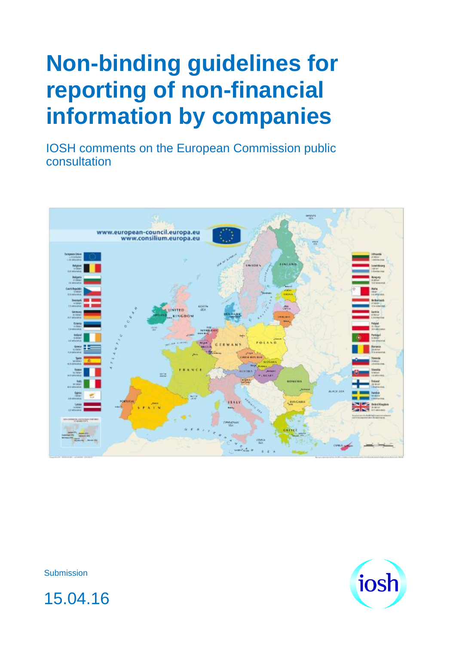# **Non-binding guidelines for reporting of non-financial information by companies**

IOSH comments on the European Commission public consultation





**Submission** 

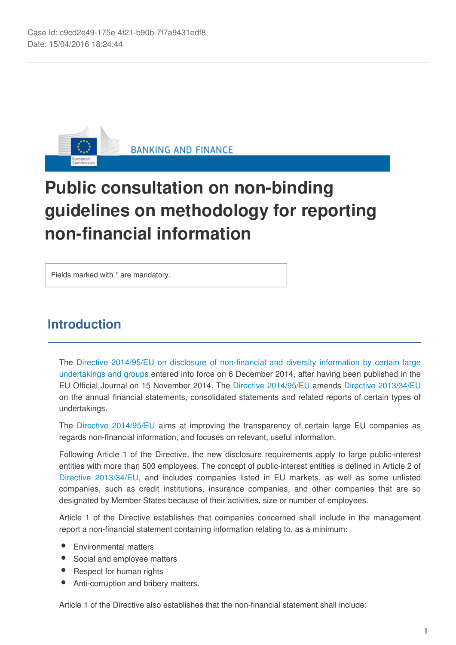

## **Public consultation on non-binding guidelines on methodology for reporting non-financial information**

Fields marked with \* are mandatory.

## **Introduction**

The [Directive 2014/95/EU on disclosure of non-financial and diversity information by certain la](http://eur-lex.europa.eu/legal-content/EN/TXT/?uri=CELEX:32014L0095)rge [undertakings and groups](http://eur-lex.europa.eu/legal-content/EN/TXT/?uri=CELEX:32014L0095) entered into force on 6 December 2014, after having been published in the EU Official Journal on 15 November 2014. The [Directive 2014/95/EU](http://eur-lex.europa.eu/legal-content/EN/TXT/?uri=CELEX:32014L0095) amends [Directive 2013/34/EU](http://eur-lex.europa.eu/legal-content/EN/TXT/?uri=CELEX:32014L0034) on the annual financial statements, consolidated statements and related reports of certain types of undertakings.

The [Directive 2014/95/EU](http://eur-lex.europa.eu/legal-content/EN/TXT/?uri=CELEX:32014L0095) aims at improving the transparency of certain large EU companies as regards non-financial information, and focuses on relevant, useful information.

Following Article 1 of the Directive, the new disclosure requirements apply to large public-interest entities with more than 500 employees. The concept of public-interest entities is defined in Article 2 of [Directive 2013/34/EU](http://eur-lex.europa.eu/legal-content/EN/TXT/?uri=CELEX:32013L0034), and includes companies listed in EU markets, as well as some unlisted companies, such as credit institutions, insurance companies, and other companies that are so designated by Member States because of their activities, size or number of employees.

Article 1 of the Directive establishes that companies concerned shall include in the management report a non-financial statement containing information relating to, as a minimum:

- Environmental matters
- Social and employee matters
- Respect for human rights
- Anti-corruption and bribery matters.

Article 1 of the Directive also establishes that the non-financial statement shall include: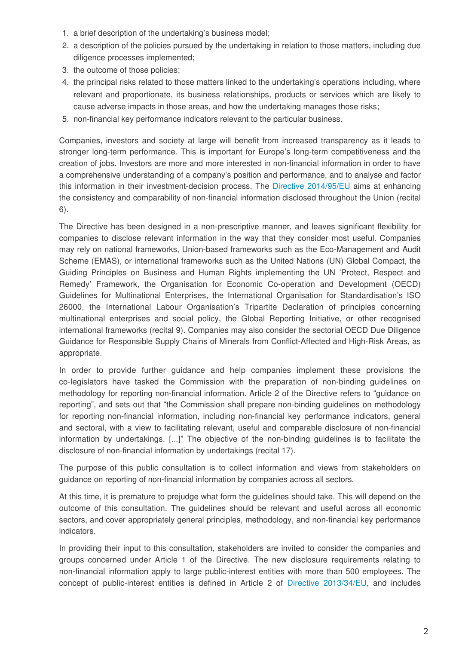- 1. a brief description of the undertaking's business model;
- 2. a description of the policies pursued by the undertaking in relation to those matters, including due diligence processes implemented;
- 3. the outcome of those policies;
- 4. the principal risks related to those matters linked to the undertaking's operations including, where relevant and proportionate, its business relationships, products or services which are likely to cause adverse impacts in those areas, and how the undertaking manages those risks;
- 5. non-financial key performance indicators relevant to the particular business.

Companies, investors and society at large will benefit from increased transparency as it leads to stronger long-term performance. This is important for Europe's long-term competitiveness and the creation of jobs. Investors are more and more interested in non-financial information in order to have a comprehensive understanding of a company's position and performance, and to analyse and factor this information in their investment-decision process. The [Directive 2014/95/EU](http://eur-lex.europa.eu/legal-content/EN/TXT/?uri=CELEX:32014L0095) aims at enhancing the consistency and comparability of non-financial information disclosed throughout the Union (recital 6).

The Directive has been designed in a non-prescriptive manner, and leaves significant flexibility for companies to disclose relevant information in the way that they consider most useful. Companies may rely on national frameworks, Union-based frameworks such as the Eco-Management and Audit Scheme (EMAS), or international frameworks such as the United Nations (UN) Global Compact, the Guiding Principles on Business and Human Rights implementing the UN 'Protect, Respect and Remedy' Framework, the Organisation for Economic Co-operation and Development (OECD) Guidelines for Multinational Enterprises, the International Organisation for Standardisation's ISO 26000, the International Labour Organisation's Tripartite Declaration of principles concerning multinational enterprises and social policy, the Global Reporting Initiative, or other recognised international frameworks (recital 9). Companies may also consider the sectorial OECD Due Diligence Guidance for Responsible Supply Chains of Minerals from Conflict-Affected and High-Risk Areas, as appropriate.

In order to provide further guidance and help companies implement these provisions the co-legislators have tasked the Commission with the preparation of non-binding guidelines on methodology for reporting non-financial information. Article 2 of the Directive refers to "guidance on reporting", and sets out that "the Commission shall prepare non-binding guidelines on methodology for reporting non-financial information, including non-financial key performance indicators, general and sectoral, with a view to facilitating relevant, useful and comparable disclosure of non-financial information by undertakings. [...]" The objective of the non-binding guidelines is to facilitate the disclosure of non-financial information by undertakings (recital 17).

The purpose of this public consultation is to collect information and views from stakeholders on guidance on reporting of non-financial information by companies across all sectors.

At this time, it is premature to prejudge what form the guidelines should take. This will depend on the outcome of this consultation. The guidelines should be relevant and useful across all economic sectors, and cover appropriately general principles, methodology, and non-financial key performance indicators.

In providing their input to this consultation, stakeholders are invited to consider the companies and groups concerned under Article 1 of the Directive. The new disclosure requirements relating to non-financial information apply to large public-interest entities with more than 500 employees. The concept of public-interest entities is defined in Article 2 of [Directive 2013/34/EU](http://eur-lex.europa.eu/legal-content/EN/TXT/?uri=CELEX:32013L0034), and includes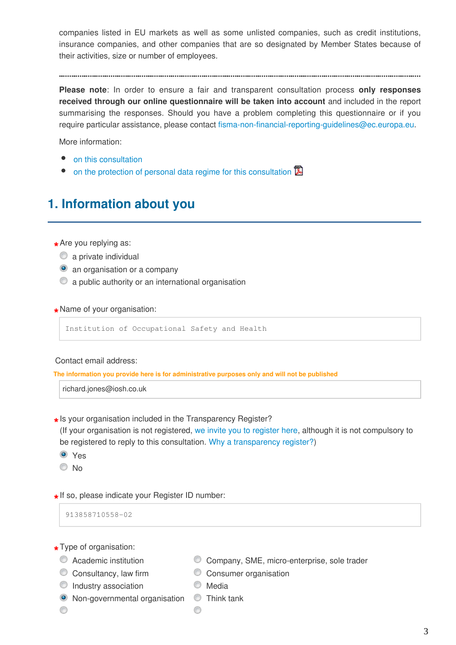companies listed in EU markets as well as some unlisted companies, such as credit institutions, insurance companies, and other companies that are so designated by Member States because of their activities, size or number of employees.

**Please note**: In order to ensure a fair and transparent consultation process **only responses received through our online questionnaire will be taken into account** and included in the report summarising the responses. Should you have a problem completing this questionnaire or if you require particular assistance, please contact fisma-non-financial-reporting-guidelines@ec.europa.eu.

More information:

- [on this consultation](http://ec.europa.eu/finance/consultations/2016/non-financial-reporting-guidelines/index_en.htm)
- [on the protection of personal data regime for this consultation](http://ec.europa.eu/finance/consultations/2016/non-financial-reporting-guidelines/docs/privacy-statement_en.pdf)  $\mathbb{Z}$

## **1. Information about you**

- **\*** Are you replying as:
	- $\bullet$  a private individual
	- <sup>o</sup> an organisation or a company
	- a public authority or an international organisation

## **\*** Name of your organisation:

Institution of Occupational Safety and Health

#### Contact email address:

**The information you provide here is for administrative purposes only and will not be published**

richard.jones@iosh.co.uk

**\*** Is your organisation included in the Transparency Register?

(If your organisation is not registered, [we invite you to register here,](http://ec.europa.eu/transparencyregister/public/homePage.do?locale=en) although it is not compulsory to be registered to reply to this consultation. [Why a transparency register?\)](http://ec.europa.eu/transparencyregister/public/staticPage/displayStaticPage.do?locale=en&reference=WHY_TRANSPARENCY_REGISTER)

Yes

© No

**\*** If so, please indicate your Register ID number:

913858710558-02

- **\*** Type of organisation:
	-
	-
	- $\circledcirc$  Industry association  $\circledcirc$  Media
	- $\bullet$  Non-governmental organisation  $\bullet$  Think tank
	- Academic institution Company, SME, micro-enterprise, sole trader
	- C Consultancy, law firm C Consumer organisation
		- -

0

◉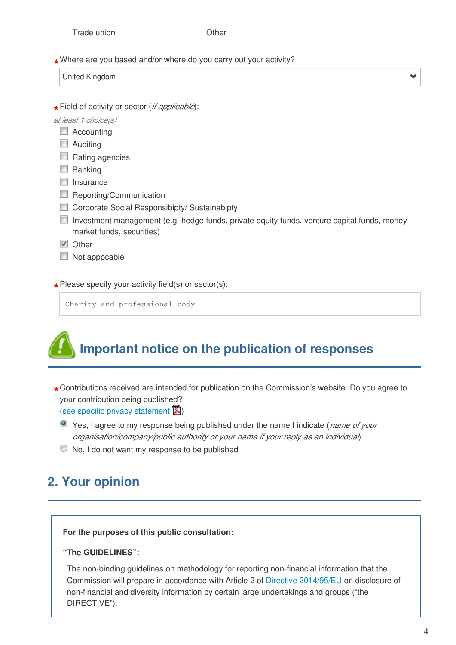**\*** Where are you based and/or where do you carry out your activity?

| United Kingdom |  |  |  |  |  |
|----------------|--|--|--|--|--|
|----------------|--|--|--|--|--|

**\*** Field of activity or sector (*if applicable*):

*at least 1 choice(s)*

- **E** Accounting
- **Auditing**
- $\Box$  Rating agencies
- $\Box$  Banking
- $\Box$  Insurance
- Reporting/Communication
- **Corporate Social Responsibipty/ Sustainabipty**
- Investment management (e.g. hedge funds, private equity funds, venture capital funds, money market funds, securities)
- **V** Other
- $\Box$  Not apppcable

**\*** Please specify your activity field(s) or sector(s):

Charity and professional body

# **Important notice on the publication of responses**

- **\*** Contributions received are intended for publication on the Commission's website. Do you agree to<br>value contribution being published? your contribution being published? ([see specific privacy statement](http://ec.europa.eu/finance/consultations/2016/non-financial-reporting-guidelines/docs/privacy-statement_en.pdf)  $\mathbb{Z}$ )
	- Yes, I agree to my response being published under the name I indicate (*name of your organisation/company/public authority or your name if your reply as an individual*)
	- $\bullet$  No, I do not want my response to be published

## **2. Your opinion**

**For the purposes of this public consultation:**

#### **"The GUIDELINES":**

The non-binding guidelines on methodology for reporting non-financial information that the Commission will prepare in accordance with Article 2 of [Directive 2014/95/EU](http://eur-lex.europa.eu/legal-content/EN/TXT/?uri=CELEX:32014L0095) on disclosure of non-financial and diversity information by certain large undertakings and groups ("the DIRECTIVE").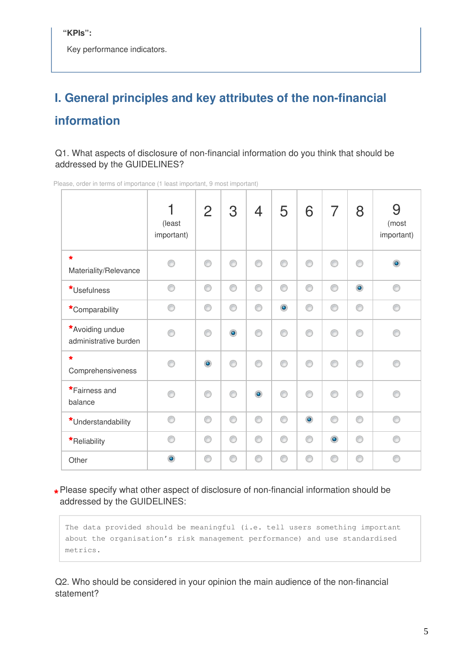**"KPIs":**

Key performance indicators.

## **I. General principles and key attributes of the non-financial information**

Q1. What aspects of disclosure of non-financial information do you think that should be addressed by the GUIDELINES?

|                                          | (least<br>important) | $\overline{2}$ | 3         | $\overline{4}$ | 5         | 6         | 7         | 8         | 9<br>(most<br>important) |
|------------------------------------------|----------------------|----------------|-----------|----------------|-----------|-----------|-----------|-----------|--------------------------|
| $\star$<br>Materiality/Relevance         | ∩                    | ⊙              | ⊙         | ⋒              | ⋒         | ⊙         | ⋒         | ∩         | ۵                        |
| *Usefulness                              | ⊙                    | ⊙              | ⊙         | ⊙              | ⊙         | ⊙         | ⊙         | $\bullet$ | ∩                        |
| *Comparability                           | ⊙                    | ⊙              | ⊙         | ⊙              | $\bullet$ | 0         | ⊙         | ⊙         | ⊙                        |
| *Avoiding undue<br>administrative burden | ∩                    | ⊙              | $\bullet$ | ⋒              | ⊙         | ⊙         | ◉         | ⊙         | ∩                        |
| $\star$<br>Comprehensiveness             | ⋒                    | $\bullet$      | ⊙         | ⋒              | ∩         | ⊙         | ∩         | ⊙         | ∩                        |
| *Fairness and<br>balance                 | ⋒                    | ⊙              | ⊙         | $\bullet$      | ⋒         | ⊙         | ∩         | ⊙         | ⋒                        |
| *Understandability                       | ⊙                    | 0              | 0         | ⊙              | ⊙         | $\bullet$ | ⊙         | 0         | ⊙                        |
| *Reliability                             | ⊙                    | ⊙              | ⊙         | ⊙              | ⊙         | ⊙         | $\bullet$ | ⊙         | ∩                        |
| Other                                    | $\bullet$            | C              | ⊙         | ⋒              | ⊙         | ⊙         | €         | ⊙         | ⋒                        |

Please, order in terms of importance (1 least important, 9 most important)

**\*** Please specify what other aspect of disclosure of non-financial information should be addressed by the GUIDELINES:

The data provided should be meaningful (i.e. tell users something important about the organisation's risk management performance) and use standardised metrics.

Q2. Who should be considered in your opinion the main audience of the non-financial statement?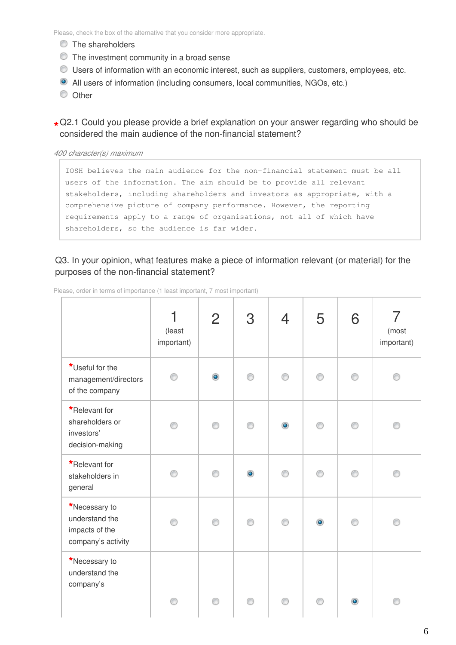Please, check the box of the alternative that you consider more appropriate.

- $\bullet$  The shareholders
- The investment community in a broad sense
- Users of information with an economic interest, such as suppliers, customers, employees, etc.
- All users of information (including consumers, local communities, NGOs, etc.)
- $\circ$  Other

\* Q2.1 Could you please provide a brief explanation on your answer regarding who should be<br>considered the main audience of the new financial statement? considered the main audience of the non-financial statement?

*400 character(s) maximum*

IOSH believes the main audience for the non-financial statement must be all users of the information. The aim should be to provide all relevant stakeholders, including shareholders and investors as appropriate, with a comprehensive picture of company performance. However, the reporting requirements apply to a range of organisations, not all of which have shareholders, so the audience is far wider.

#### Q3. In your opinion, what features make a piece of information relevant (or material) for the purposes of the non-financial statement?

|                                                                         | (least<br>important) | $\overline{2}$ | 3         | 4         | 5 | 6 | (most<br>important) |
|-------------------------------------------------------------------------|----------------------|----------------|-----------|-----------|---|---|---------------------|
| *Useful for the<br>management/directors<br>of the company               |                      | $\circledcirc$ |           |           | ⋒ |   |                     |
| *Relevant for<br>shareholders or<br>investors'<br>decision-making       |                      | ∩              | ∩         | $\bullet$ | ⋒ |   |                     |
| *Relevant for<br>stakeholders in<br>general                             |                      | ⋒              | $\bullet$ |           | ∩ |   |                     |
| *Necessary to<br>understand the<br>impacts of the<br>company's activity |                      |                |           |           | ۰ |   |                     |
| *Necessary to<br>understand the<br>company's                            |                      | ∩              |           |           | ∩ |   |                     |
|                                                                         |                      |                |           |           |   |   |                     |

Please, order in terms of importance (1 least important, 7 most important)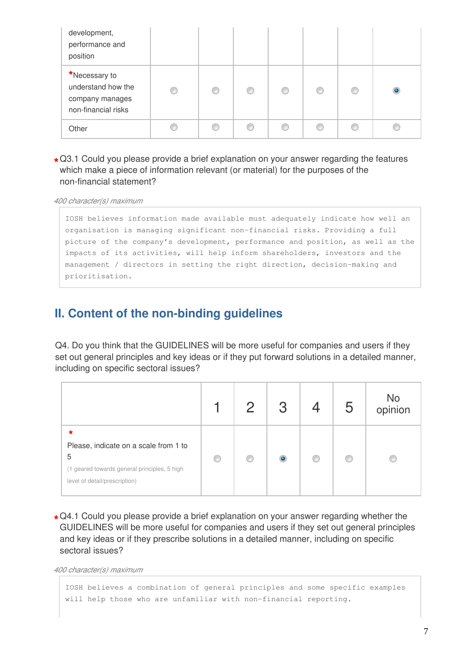| development,<br>performance and<br>position                                   |   |   |   |   |  |
|-------------------------------------------------------------------------------|---|---|---|---|--|
| *Necessary to<br>understand how the<br>company manages<br>non-financial risks | € | ⋒ | € | ⋒ |  |
| Other                                                                         |   |   |   | œ |  |

\* Q3.1 Could you please provide a brief explanation on your answer regarding the features which make a piece of information relevant (or material) for the purposes of the non-financial statement?

*400 character(s) maximum*

IOSH believes information made available must adequately indicate how well an organisation is managing significant non-financial risks. Providing a full picture of the company's development, performance and position, as well as the impacts of its activities, will help inform shareholders, investors and the management / directors in setting the right direction, decision-making and prioritisation.

## **II. Content of the non-binding guidelines**

Q4. Do you think that the GUIDELINES will be more useful for companies and users if they set out general principles and key ideas or if they put forward solutions in a detailed manner, including on specific sectoral issues?

|                                                                                                                                        | $\mathcal{P}$ | 3 | 5 | No<br>opinion |
|----------------------------------------------------------------------------------------------------------------------------------------|---------------|---|---|---------------|
| $\star$<br>Please, indicate on a scale from 1 to<br>5<br>(1 geared towards general principles, 5 high<br>level of detail/prescription) |               |   |   |               |

**\*** Q4.1 Could you please provide a brief explanation on your answer regarding whether the<br>CUPELINES will be mare useful far companies and users if they ast out general principle GUIDELINES will be more useful for companies and users if they set out general principles and key ideas or if they prescribe solutions in a detailed manner, including on specific sectoral issues?

*400 character(s) maximum*

IOSH believes a combination of general principles and some specific examples will help those who are unfamiliar with non-financial reporting.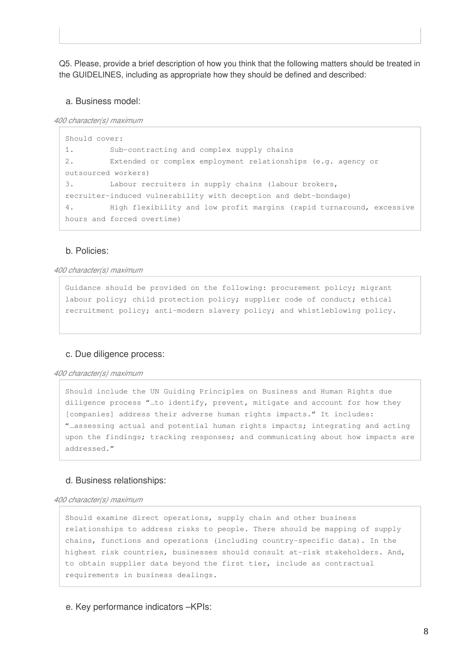Q5. Please, provide a brief description of how you think that the following matters should be treated in the GUIDELINES, including as appropriate how they should be defined and described:

#### a. Business model:

*400 character(s) maximum*

Should cover: 1. Sub-contracting and complex supply chains 2. Extended or complex employment relationships (e.g. agency or outsourced workers) 3. Labour recruiters in supply chains (labour brokers, recruiter-induced vulnerability with deception and debt-bondage) 4. High flexibility and low profit margins (rapid turnaround, excessive hours and forced overtime)

#### b. Policies:

#### *400 character(s) maximum*

Guidance should be provided on the following: procurement policy; migrant labour policy; child protection policy; supplier code of conduct; ethical recruitment policy; anti-modern slavery policy; and whistleblowing policy.

#### c. Due diligence process:

#### *400 character(s) maximum*

Should include the UN Guiding Principles on Business and Human Rights due diligence process "…to identify, prevent, mitigate and account for how they [companies] address their adverse human rights impacts." It includes: "…assessing actual and potential human rights impacts; integrating and acting upon the findings; tracking responses; and communicating about how impacts are addressed."

#### d. Business relationships:

#### *400 character(s) maximum*

Should examine direct operations, supply chain and other business relationships to address risks to people. There should be mapping of supply chains, functions and operations (including country-specific data). In the highest risk countries, businesses should consult at-risk stakeholders. And, to obtain supplier data beyond the first tier, include as contractual requirements in business dealings.

e. Key performance indicators –KPIs: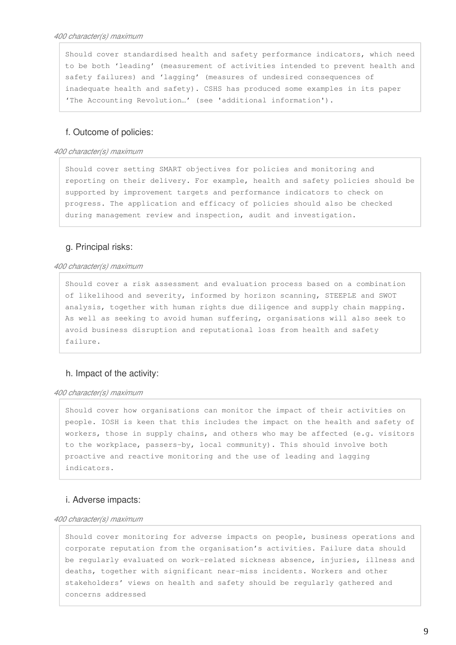Should cover standardised health and safety performance indicators, which need to be both 'leading' (measurement of activities intended to prevent health and safety failures) and 'lagging' (measures of undesired consequences of inadequate health and safety). CSHS has produced some examples in its paper 'The Accounting Revolution…' (see 'additional information').

#### f. Outcome of policies:

#### *400 character(s) maximum*

Should cover setting SMART objectives for policies and monitoring and reporting on their delivery. For example, health and safety policies should be supported by improvement targets and performance indicators to check on progress. The application and efficacy of policies should also be checked during management review and inspection, audit and investigation.

#### g. Principal risks:

#### *400 character(s) maximum*

Should cover a risk assessment and evaluation process based on a combination of likelihood and severity, informed by horizon scanning, STEEPLE and SWOT analysis, together with human rights due diligence and supply chain mapping. As well as seeking to avoid human suffering, organisations will also seek to avoid business disruption and reputational loss from health and safety failure.

#### h. Impact of the activity:

#### *400 character(s) maximum*

Should cover how organisations can monitor the impact of their activities on people. IOSH is keen that this includes the impact on the health and safety of workers, those in supply chains, and others who may be affected (e.g. visitors to the workplace, passers-by, local community). This should involve both proactive and reactive monitoring and the use of leading and lagging indicators.

#### i. Adverse impacts:

#### *400 character(s) maximum*

Should cover monitoring for adverse impacts on people, business operations and corporate reputation from the organisation's activities. Failure data should be regularly evaluated on work-related sickness absence, injuries, illness and deaths, together with significant near-miss incidents. Workers and other stakeholders' views on health and safety should be regularly gathered and concerns addressed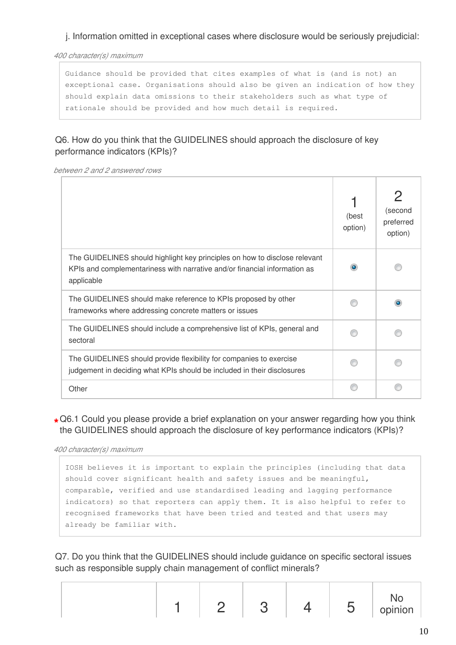#### j. Information omitted in exceptional cases where disclosure would be seriously prejudicial:

*400 character(s) maximum*

Guidance should be provided that cites examples of what is (and is not) an exceptional case. Organisations should also be given an indication of how they should explain data omissions to their stakeholders such as what type of rationale should be provided and how much detail is required.

#### Q6. How do you think that the GUIDELINES should approach the disclosure of key performance indicators (KPIs)?

*between 2 and 2 answered rows*

|                                                                                                                                                                       | (best<br>option) | 2<br>(second<br>preferred<br>option) |
|-----------------------------------------------------------------------------------------------------------------------------------------------------------------------|------------------|--------------------------------------|
| The GUIDELINES should highlight key principles on how to disclose relevant<br>KPIs and complementariness with narrative and/or financial information as<br>applicable |                  |                                      |
| The GUIDELINES should make reference to KPIs proposed by other<br>frameworks where addressing concrete matters or issues                                              |                  |                                      |
| The GUIDELINES should include a comprehensive list of KPIs, general and<br>sectoral                                                                                   |                  |                                      |
| The GUIDELINES should provide flexibility for companies to exercise<br>judgement in deciding what KPIs should be included in their disclosures                        |                  |                                      |
| Other                                                                                                                                                                 |                  |                                      |

\* Q6.1 Could you please provide a brief explanation on your answer regarding how you think<br>the CUIDELINES should enargoeb the disclosure of loving the manneau indicators (KBIa)? the GUIDELINES should approach the disclosure of key performance indicators (KPIs)?

*400 character(s) maximum*

IOSH believes it is important to explain the principles (including that data should cover significant health and safety issues and be meaningful, comparable, verified and use standardised leading and lagging performance indicators) so that reporters can apply them. It is also helpful to refer to recognised frameworks that have been tried and tested and that users may already be familiar with.

Q7. Do you think that the GUIDELINES should include guidance on specific sectoral issues such as responsible supply chain management of conflict minerals?

| 4<br>n<br>$\Delta$ | 5 | opinion |  |
|--------------------|---|---------|--|
|--------------------|---|---------|--|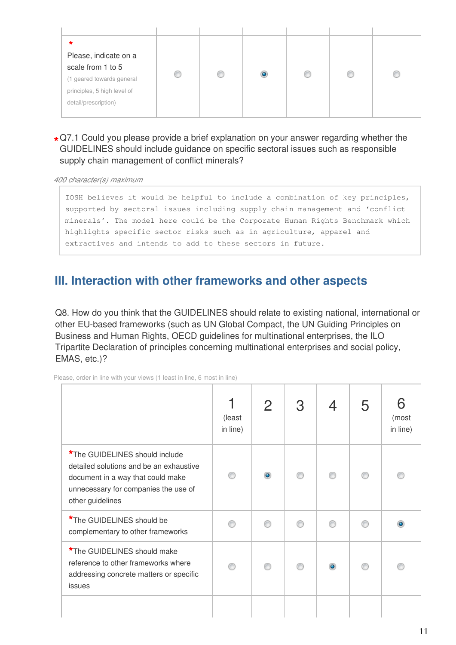| *                           |   |  |  |  |
|-----------------------------|---|--|--|--|
| Please, indicate on a       |   |  |  |  |
| scale from 1 to 5           |   |  |  |  |
| (1 geared towards general   | w |  |  |  |
| principles, 5 high level of |   |  |  |  |
| detail/prescription)        |   |  |  |  |
|                             |   |  |  |  |

**\*** Q7.1 Could you please provide a brief explanation on your answer regarding whether the GUIDELINES should include guidance on specific sectoral issues such as responsible supply chain management of conflict minerals?

*400 character(s) maximum*

IOSH believes it would be helpful to include a combination of key principles, supported by sectoral issues including supply chain management and 'conflict minerals'. The model here could be the Corporate Human Rights Benchmark which highlights specific sector risks such as in agriculture, apparel and extractives and intends to add to these sectors in future.

### **III. Interaction with other frameworks and other aspects**

Q8. How do you think that the GUIDELINES should relate to existing national, international or other EU-based frameworks (such as UN Global Compact, the UN Guiding Principles on Business and Human Rights, OECD guidelines for multinational enterprises, the ILO Tripartite Declaration of principles concerning multinational enterprises and social policy, EMAS, etc.)?

Please, order in line with your views (1 least in line, 6 most in line)

|                                                                                                                                                                            | (least<br>in line) | $\mathbf{2}$ | 3 | 5 | 6<br>(most<br>in line) |
|----------------------------------------------------------------------------------------------------------------------------------------------------------------------------|--------------------|--------------|---|---|------------------------|
| *The GUIDELINES should include<br>detailed solutions and be an exhaustive<br>document in a way that could make<br>unnecessary for companies the use of<br>other guidelines |                    |              |   |   |                        |
| *The GUIDELINES should be<br>complementary to other frameworks                                                                                                             |                    |              |   |   |                        |
| *The GUIDELINES should make<br>reference to other frameworks where<br>addressing concrete matters or specific<br>issues                                                    |                    |              |   |   |                        |
|                                                                                                                                                                            |                    |              |   |   |                        |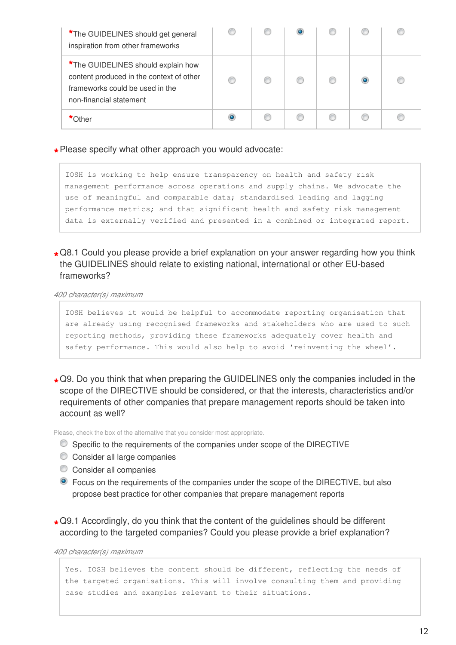| *The GUIDELINES should get general<br>inspiration from other frameworks                                                                      |  |  |  |
|----------------------------------------------------------------------------------------------------------------------------------------------|--|--|--|
| *The GUIDELINES should explain how<br>content produced in the context of other<br>frameworks could be used in the<br>non-financial statement |  |  |  |
|                                                                                                                                              |  |  |  |

## **\*** Please specify what other approach you would advocate:

IOSH is working to help ensure transparency on health and safety risk management performance across operations and supply chains. We advocate the use of meaningful and comparable data; standardised leading and lagging performance metrics; and that significant health and safety risk management data is externally verified and presented in a combined or integrated report.

#### \* Q8.1 Could you please provide a brief explanation on your answer regarding how you think<br>the CUIDELINES should relate to evisting patienal, international ar ather EU beacd the GUIDELINES should relate to existing national, international or other EU-based frameworks?

*400 character(s) maximum*

IOSH believes it would be helpful to accommodate reporting organisation that are already using recognised frameworks and stakeholders who are used to such reporting methods, providing these frameworks adequately cover health and safety performance. This would also help to avoid 'reinventing the wheel'.

**\*** Q9. Do you think that when preparing the GUIDELINES only the companies included in the<br>cases of the DIRECTIVE should be considered, at that the interacte share textistics and/at scope of the DIRECTIVE should be considered, or that the interests, characteristics and/or requirements of other companies that prepare management reports should be taken into account as well?

Please, check the box of the alternative that you consider most appropriate.

- Specific to the requirements of the companies under scope of the DIRECTIVE
- Consider all large companies
- Consider all companies
- Focus on the requirements of the companies under the scope of the DIRECTIVE, but also propose best practice for other companies that prepare management reports
- **\*** Q9.1 Accordingly, do you think that the content of the guidelines should be different according to the targeted companies? Could you please provide a brief explanation?

*400 character(s) maximum*

Yes. IOSH believes the content should be different, reflecting the needs of the targeted organisations. This will involve consulting them and providing case studies and examples relevant to their situations.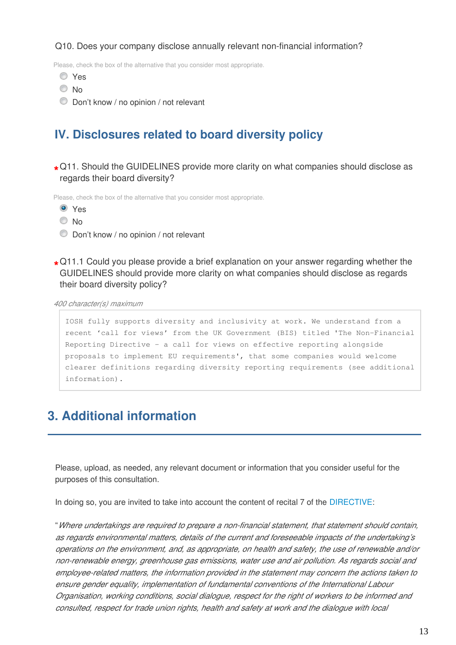#### Q10. Does your company disclose annually relevant non-financial information?

Please, check the box of the alternative that you consider most appropriate.

- Yes
- © No
- Don't know / no opinion / not relevant

## **IV. Disclosures related to board diversity policy**

\* Q11. Should the GUIDELINES provide more clarity on what companies should disclose as regards their board diversity?

Please, check the box of the alternative that you consider most appropriate.

**O** Yes

- $\odot$  No
- Don't know / no opinion / not relevant
- **\*** Q11.1 Could you please provide a brief explanation on your answer regarding whether the GUIDELINES should provide more clarity on what companies should disclose as regards their board diversity policy?

*400 character(s) maximum*

```
IOSH fully supports diversity and inclusivity at work. We understand from a
recent 'call for views' from the UK Government (BIS) titled 'The Non-Financial
Reporting Directive - a call for views on effective reporting alongside
proposals to implement EU requirements', that some companies would welcome
clearer definitions regarding diversity reporting requirements (see additional
information).
```
## **3. Additional information**

Please, upload, as needed, any relevant document or information that you consider useful for the purposes of this consultation.

In doing so, you are invited to take into account the content of recital 7 of the [DIRECTIVE](http://eur-lex.europa.eu/legal-content/EN/TXT/?uri=CELEX:32014L0095):

"*Where undertakings are required to prepare a non-financial statement, that statement should contain, as regards environmental matters, details of the current and foreseeable impacts of the undertaking's operations on the environment, and, as appropriate, on health and safety, the use of renewable and/or non-renewable energy, greenhouse gas emissions, water use and air pollution. As regards social and employee-related matters, the information provided in the statement may concern the actions taken to ensure gender equality, implementation of fundamental conventions of the International Labour Organisation, working conditions, social dialogue, respect for the right of workers to be informed and consulted, respect for trade union rights, health and safety at work and the dialogue with local*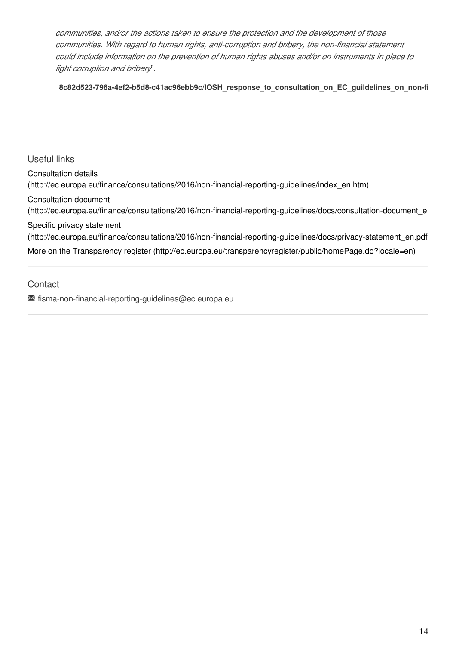*communities, and/or the actions taken to ensure the protection and the development of those communities. With regard to human rights, anti-corruption and bribery, the non-financial statement could include information on the prevention of human rights abuses and/or on instruments in place to fight corruption and bribery*".

8c82d523-796a-4ef2-b5d8-c41ac96ebb9c/IOSH\_response\_to\_consultation\_on\_EC\_guildelines\_on\_non-fi

Useful links [Consultation details](http://ec.europa.eu/finance/consultations/2016/non-financial-reporting-guidelines/index_en.htm) [\(http://ec.europa.eu/finance/consultations/2016/non-financial-reporting-guidelines/index\\_en.htm\)](http://ec.europa.eu/finance/consultations/2016/non-financial-reporting-guidelines/index_en.htm) [Consultation document](http://ec.europa.eu/finance/consultations/2016/non-financial-reporting-guidelines/docs/consultation-document_en.pdf) [\(http://ec.europa.eu/finance/consultations/2016/non-financial-reporting-guidelines/docs/consultation-document\\_en.pdf\)](http://ec.europa.eu/finance/consultations/2016/non-financial-reporting-guidelines/docs/consultation-document_en.pdf) [Specific privacy statement](http://ec.europa.eu/finance/consultations/2016/non-financial-reporting-guidelines/docs/privacy-statement_en.pdf) [\(http://ec.europa.eu/finance/consultations/2016/non-financial-reporting-guidelines/docs/privacy-statement\\_en.pdf\)](http://ec.europa.eu/finance/consultations/2016/non-financial-reporting-guidelines/docs/privacy-statement_en.pdf)

[More on the Transparency register \(http://ec.europa.eu/transparencyregister/public/homePage.do?locale=en\)](http://ec.europa.eu/transparencyregister/public/homePage.do?locale=en)

**Contact** 

 $\blacksquare$  fisma-non-financial-reporting-guidelines@ec.europa.eu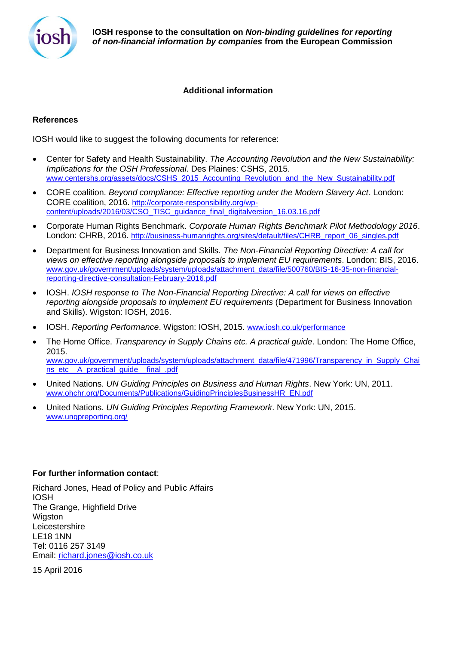

**IOSH response to the consultation on** *Non-binding guidelines for reporting of non-financial information by companies* **from the European Commission**

#### **Additional information**

#### **References**

IOSH would like to suggest the following documents for reference:

- Center for Safety and Health Sustainability. *The Accounting Revolution and the New Sustainability: Implications for the OSH Professional*. Des Plaines: CSHS, 2015. [www.centershs.org/assets/docs/CSHS\\_2015\\_Accounting\\_Revolution\\_and\\_the\\_New\\_Sustainability.pdf](http://www.centershs.org/assets/docs/CSHS_2015_Accounting_Revolution_and_the_New_Sustainability.pdf)
- CORE coalition. *Beyond compliance: Effective reporting under the Modern Slavery Act*. London: CORE coalition, 2016. [http://corporate-responsibility.org/wp](http://corporate-responsibility.org/wp-content/uploads/2016/03/CSO_TISC_guidance_final_digitalversion_16.03.16.pdf)[content/uploads/2016/03/CSO\\_TISC\\_guidance\\_final\\_digitalversion\\_16.03.16.pdf](http://corporate-responsibility.org/wp-content/uploads/2016/03/CSO_TISC_guidance_final_digitalversion_16.03.16.pdf)
- Corporate Human Rights Benchmark. *Corporate Human Rights Benchmark Pilot Methodology 2016*. London: CHRB, 2016. [http://business-humanrights.org/sites/default/files/CHRB\\_report\\_06\\_singles.pdf](http://business-humanrights.org/sites/default/files/CHRB_report_06_singles.pdf)
- Department for Business Innovation and Skills. *The Non-Financial Reporting Directive: A call for views on effective reporting alongside proposals to implement EU requirements*. London: BIS, 2016. [www.gov.uk/government/uploads/system/uploads/attachment\\_data/file/500760/BIS-16-35-non-financial](http://www.gov.uk/government/uploads/system/uploads/attachment_data/file/500760/BIS-16-35-non-financial-reporting-directive-consultation-February-2016.pdf)[reporting-directive-consultation-February-2016.pdf](http://www.gov.uk/government/uploads/system/uploads/attachment_data/file/500760/BIS-16-35-non-financial-reporting-directive-consultation-February-2016.pdf)
- IOSH. *IOSH response to The Non-Financial Reporting Directive: A call for views on effective reporting alongside proposals to implement EU requirements* (Department for Business Innovation and Skills). Wigston: IOSH, 2016.
- IOSH. *Reporting Performance*. Wigston: IOSH, 2015. [www.iosh.co.uk/performance](http://www.iosh.co.uk/performance)
- The Home Office. *Transparency in Supply Chains etc. A practical guide*. London: The Home Office, 2015. [www.gov.uk/government/uploads/system/uploads/attachment\\_data/file/471996/Transparency\\_in\\_Supply\\_Chai](http://www.gov.uk/government/uploads/system/uploads/attachment_data/file/471996/Transparency_in_Supply_Chains_etc__A_practical_guide__final_.pdf) ns\_etc\_\_A\_practical\_quide\_\_final\_.pdf
- United Nations. *UN Guiding Principles on Business and Human Rights*. New York: UN, 2011. [www.ohchr.org/Documents/Publications/GuidingPrinciplesBusinessHR\\_EN.pdf](http://www.ohchr.org/Documents/Publications/GuidingPrinciplesBusinessHR_EN.pdf)
- United Nations. *UN Guiding Principles Reporting Framework*. New York: UN, 2015. [www.ungpreporting.org/](http://www.ungpreporting.org/)

#### **For further information contact**:

Richard Jones, Head of Policy and Public Affairs IOSH The Grange, Highfield Drive Wigston Leicestershire LE18 1NN Tel: 0116 257 3149 Email: [richard.jones@iosh.co.uk](mailto:richard.jones@iosh.co.uk)

15 April 2016